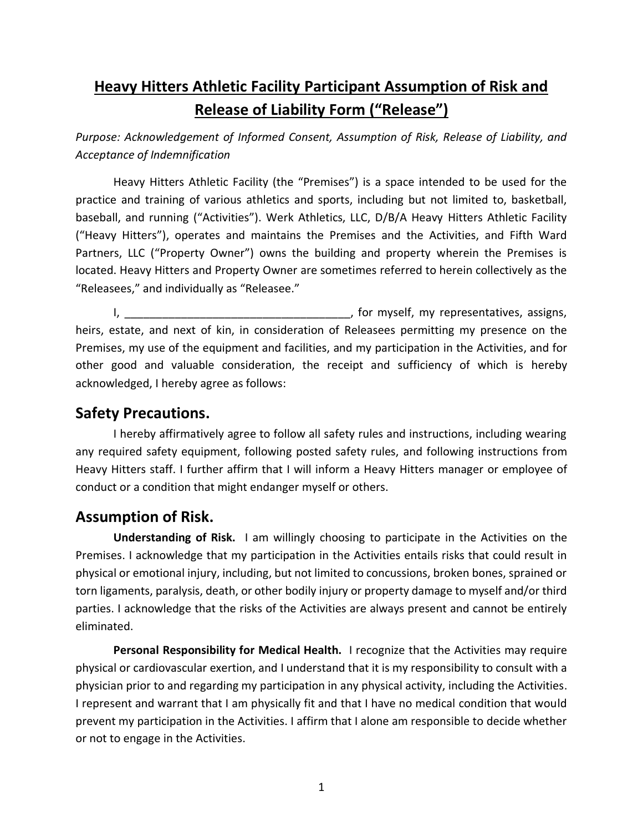# **Heavy Hitters Athletic Facility Participant Assumption of Risk and Release of Liability Form ("Release")**

*Purpose: Acknowledgement of Informed Consent, Assumption of Risk, Release of Liability, and Acceptance of Indemnification*

Heavy Hitters Athletic Facility (the "Premises") is a space intended to be used for the practice and training of various athletics and sports, including but not limited to, basketball, baseball, and running ("Activities"). Werk Athletics, LLC, D/B/A Heavy Hitters Athletic Facility ("Heavy Hitters"), operates and maintains the Premises and the Activities, and Fifth Ward Partners, LLC ("Property Owner") owns the building and property wherein the Premises is located. Heavy Hitters and Property Owner are sometimes referred to herein collectively as the "Releasees," and individually as "Releasee."

I, the myself, my representatives, assigns, heirs, estate, and next of kin, in consideration of Releasees permitting my presence on the Premises, my use of the equipment and facilities, and my participation in the Activities, and for other good and valuable consideration, the receipt and sufficiency of which is hereby acknowledged, I hereby agree as follows:

#### **Safety Precautions.**

I hereby affirmatively agree to follow all safety rules and instructions, including wearing any required safety equipment, following posted safety rules, and following instructions from Heavy Hitters staff. I further affirm that I will inform a Heavy Hitters manager or employee of conduct or a condition that might endanger myself or others.

### **Assumption of Risk.**

**Understanding of Risk.** I am willingly choosing to participate in the Activities on the Premises. I acknowledge that my participation in the Activities entails risks that could result in physical or emotional injury, including, but not limited to concussions, broken bones, sprained or torn ligaments, paralysis, death, or other bodily injury or property damage to myself and/or third parties. I acknowledge that the risks of the Activities are always present and cannot be entirely eliminated.

**Personal Responsibility for Medical Health.** I recognize that the Activities may require physical or cardiovascular exertion, and I understand that it is my responsibility to consult with a physician prior to and regarding my participation in any physical activity, including the Activities. I represent and warrant that I am physically fit and that I have no medical condition that would prevent my participation in the Activities. I affirm that I alone am responsible to decide whether or not to engage in the Activities.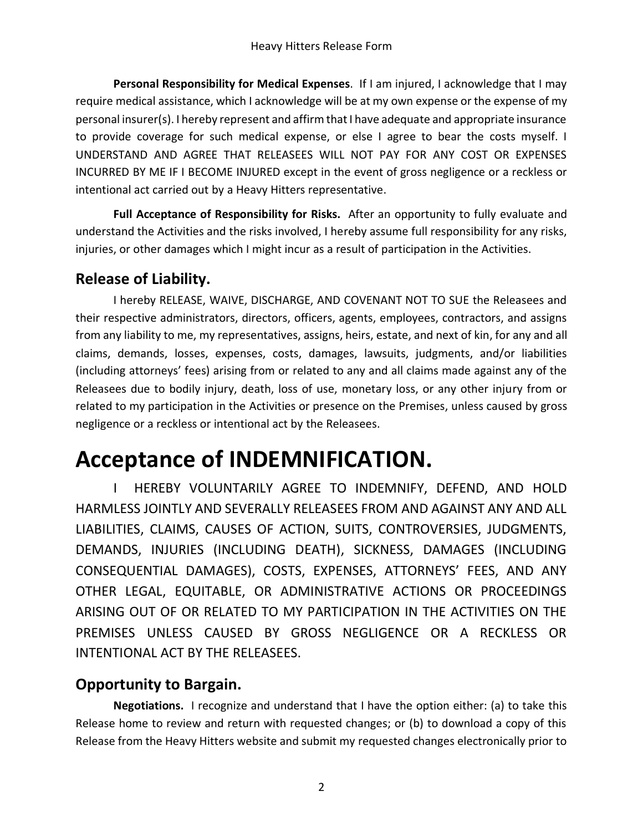**Personal Responsibility for Medical Expenses**. If I am injured, I acknowledge that I may require medical assistance, which I acknowledge will be at my own expense or the expense of my personal insurer(s). I hereby represent and affirm that I have adequate and appropriate insurance to provide coverage for such medical expense, or else I agree to bear the costs myself. I UNDERSTAND AND AGREE THAT RELEASEES WILL NOT PAY FOR ANY COST OR EXPENSES INCURRED BY ME IF I BECOME INJURED except in the event of gross negligence or a reckless or intentional act carried out by a Heavy Hitters representative.

**Full Acceptance of Responsibility for Risks.** After an opportunity to fully evaluate and understand the Activities and the risks involved, I hereby assume full responsibility for any risks, injuries, or other damages which I might incur as a result of participation in the Activities.

### **Release of Liability.**

I hereby RELEASE, WAIVE, DISCHARGE, AND COVENANT NOT TO SUE the Releasees and their respective administrators, directors, officers, agents, employees, contractors, and assigns from any liability to me, my representatives, assigns, heirs, estate, and next of kin, for any and all claims, demands, losses, expenses, costs, damages, lawsuits, judgments, and/or liabilities (including attorneys' fees) arising from or related to any and all claims made against any of the Releasees due to bodily injury, death, loss of use, monetary loss, or any other injury from or related to my participation in the Activities or presence on the Premises, unless caused by gross negligence or a reckless or intentional act by the Releasees.

# **Acceptance of INDEMNIFICATION.**

I HEREBY VOLUNTARILY AGREE TO INDEMNIFY, DEFEND, AND HOLD HARMLESS JOINTLY AND SEVERALLY RELEASEES FROM AND AGAINST ANY AND ALL LIABILITIES, CLAIMS, CAUSES OF ACTION, SUITS, CONTROVERSIES, JUDGMENTS, DEMANDS, INJURIES (INCLUDING DEATH), SICKNESS, DAMAGES (INCLUDING CONSEQUENTIAL DAMAGES), COSTS, EXPENSES, ATTORNEYS' FEES, AND ANY OTHER LEGAL, EQUITABLE, OR ADMINISTRATIVE ACTIONS OR PROCEEDINGS ARISING OUT OF OR RELATED TO MY PARTICIPATION IN THE ACTIVITIES ON THE PREMISES UNLESS CAUSED BY GROSS NEGLIGENCE OR A RECKLESS OR INTENTIONAL ACT BY THE RELEASEES.

# **Opportunity to Bargain.**

**Negotiations.** I recognize and understand that I have the option either: (a) to take this Release home to review and return with requested changes; or (b) to download a copy of this Release from the Heavy Hitters website and submit my requested changes electronically prior to